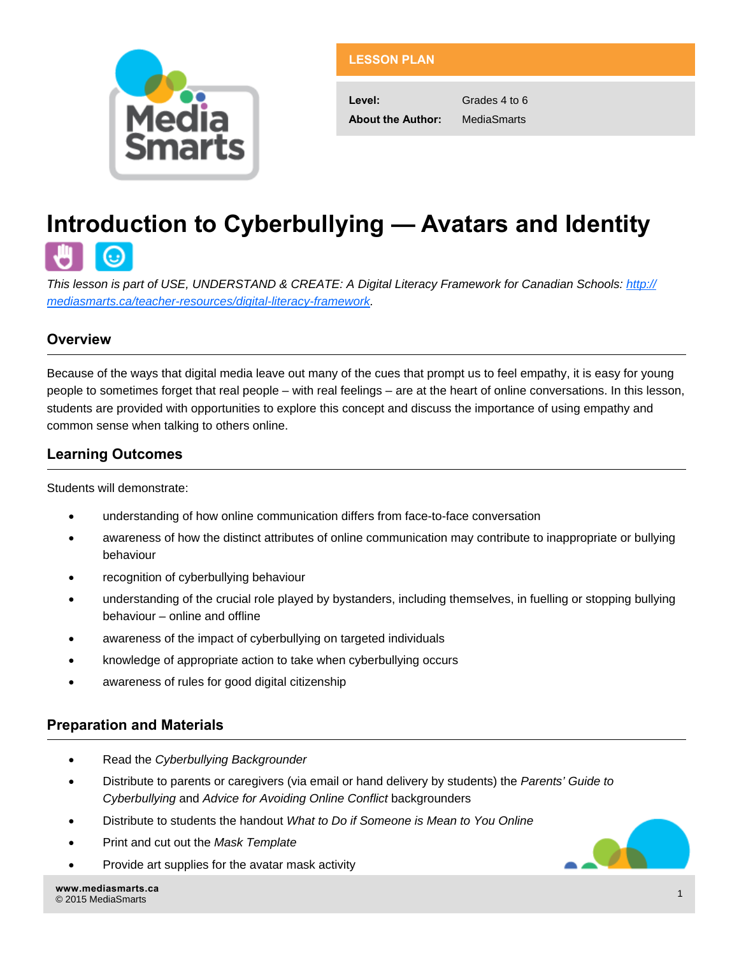

## **LESSON PLAN**

**Level:** Grades 4 to 6 **About the Author:** MediaSmarts

# **Introduction to Cyberbullying — Avatars and Identity**

*This lesson is part of USE, UNDERSTAND & CREATE: A Digital Literacy Framework for Canadian Schools: [http://](http://mediasmarts.ca/teacher-resources/digital-literacy-framework) [mediasmarts.ca/teacher-resources/digital-literacy-framework.](http://mediasmarts.ca/teacher-resources/digital-literacy-framework)* 

## **Overview**

Because of the ways that digital media leave out many of the cues that prompt us to feel empathy, it is easy for young people to sometimes forget that real people – with real feelings – are at the heart of online conversations. In this lesson, students are provided with opportunities to explore this concept and discuss the importance of using empathy and common sense when talking to others online.

## **Learning Outcomes**

Students will demonstrate:

- understanding of how online communication differs from face-to-face conversation
- awareness of how the distinct attributes of online communication may contribute to inappropriate or bullying behaviour
- **•** recognition of cyberbullying behaviour
- understanding of the crucial role played by bystanders, including themselves, in fuelling or stopping bullying behaviour – online and offline
- awareness of the impact of cyberbullying on targeted individuals
- knowledge of appropriate action to take when cyberbullying occurs
- awareness of rules for good digital citizenship

## **Preparation and Materials**

- Read the *Cyberbullying Backgrounder*
- Distribute to parents or caregivers (via email or hand delivery by students) the *Parents' Guide to Cyberbullying* and *Advice for Avoiding Online Conflict* backgrounders
- Distribute to students the handout *What to Do if Someone is Mean to You Online*
- Print and cut out the *Mask Template*
- Provide art supplies for the avatar mask activity



**[www.mediasmarts.ca](http://www.mediasmarts.ca)**  www.mediasmarts.ca<br>© 2015 MediaSmarts 1988 Procedure 2018 Procedure 2018 Procedure 2018 Procedure 2018 Procedure 2019 Procedure 2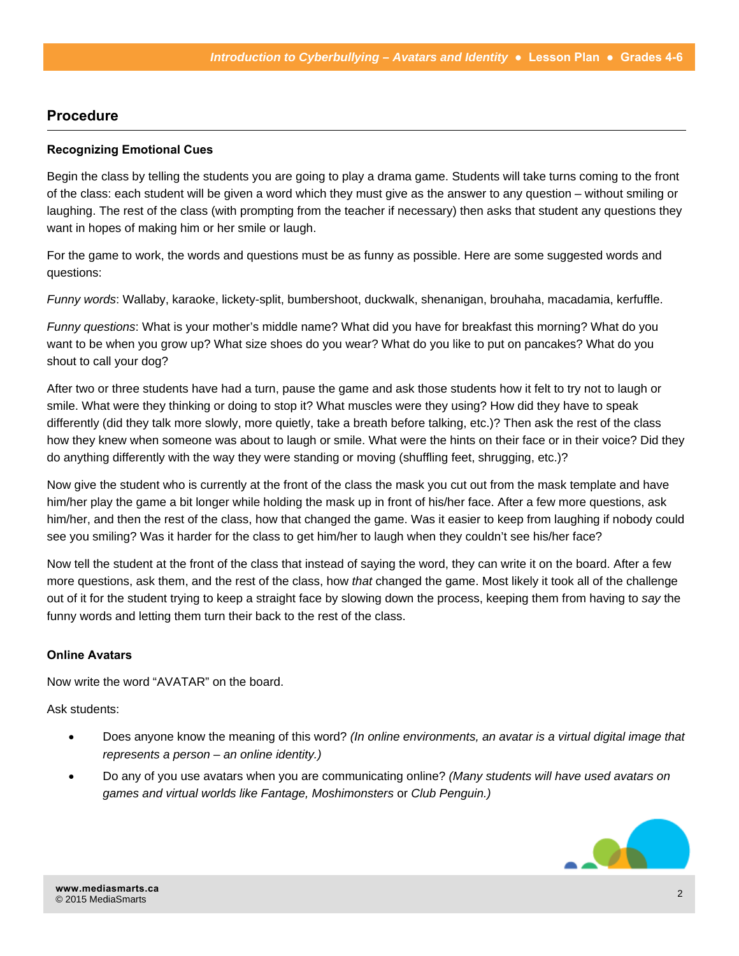### **Procedure**

#### **Recognizing Emotional Cues**

Begin the class by telling the students you are going to play a drama game. Students will take turns coming to the front of the class: each student will be given a word which they must give as the answer to any question – without smiling or laughing. The rest of the class (with prompting from the teacher if necessary) then asks that student any questions they want in hopes of making him or her smile or laugh.

For the game to work, the words and questions must be as funny as possible. Here are some suggested words and questions:

*Funny words*: Wallaby, karaoke, lickety-split, bumbershoot, duckwalk, shenanigan, brouhaha, macadamia, kerfuffle.

*Funny questions*: What is your mother's middle name? What did you have for breakfast this morning? What do you want to be when you grow up? What size shoes do you wear? What do you like to put on pancakes? What do you shout to call your dog?

After two or three students have had a turn, pause the game and ask those students how it felt to try not to laugh or smile. What were they thinking or doing to stop it? What muscles were they using? How did they have to speak differently (did they talk more slowly, more quietly, take a breath before talking, etc.)? Then ask the rest of the class how they knew when someone was about to laugh or smile. What were the hints on their face or in their voice? Did they do anything differently with the way they were standing or moving (shuffling feet, shrugging, etc.)?

Now give the student who is currently at the front of the class the mask you cut out from the mask template and have him/her play the game a bit longer while holding the mask up in front of his/her face. After a few more questions, ask him/her, and then the rest of the class, how that changed the game. Was it easier to keep from laughing if nobody could see you smiling? Was it harder for the class to get him/her to laugh when they couldn't see his/her face?

Now tell the student at the front of the class that instead of saying the word, they can write it on the board. After a few more questions, ask them, and the rest of the class, how *that* changed the game. Most likely it took all of the challenge out of it for the student trying to keep a straight face by slowing down the process, keeping them from having to *say* the funny words and letting them turn their back to the rest of the class.

#### **Online Avatars**

Now write the word "AVATAR" on the board.

Ask students:

- Does anyone know the meaning of this word? *(In online environments, an avatar is a virtual digital image that represents a person* – *an online identity.)*
- Do any of you use avatars when you are communicating online? *(Many students will have used avatars on games and virtual worlds like Fantage, Moshimonsters* or *Club Penguin.)*

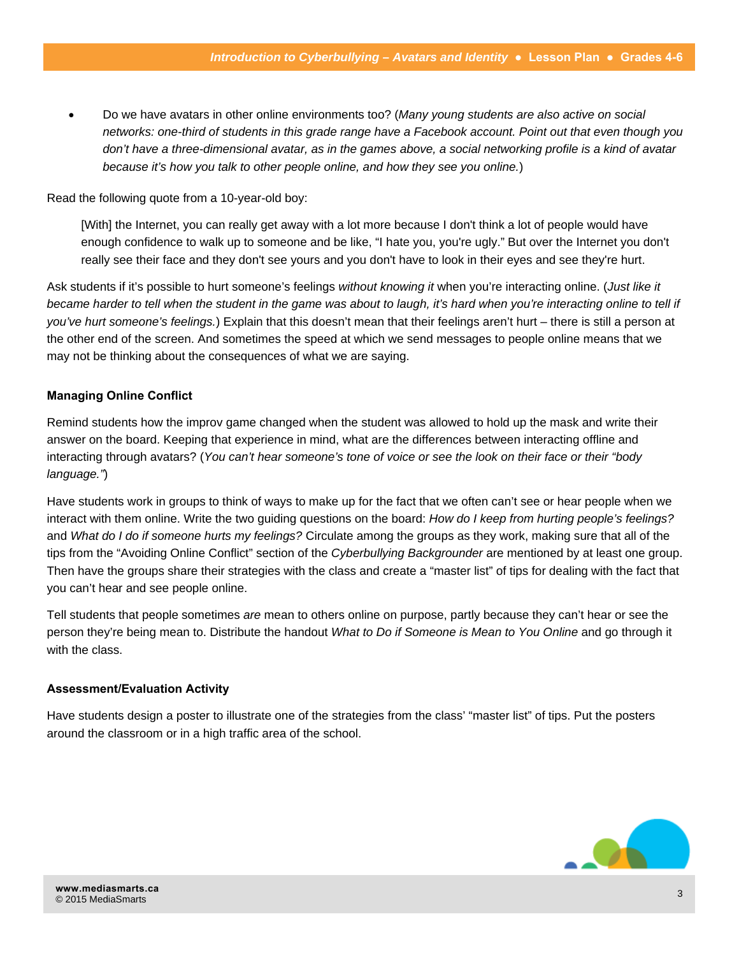Do we have avatars in other online environments too? (*Many young students are also active on social networks: one-third of students in this grade range have a Facebook account. Point out that even though you don't have a three-dimensional avatar, as in the games above, a social networking profile is a kind of avatar because it's how you talk to other people online, and how they see you online.*)

Read the following quote from a 10-year-old boy:

[With] the Internet, you can really get away with a lot more because I don't think a lot of people would have enough confidence to walk up to someone and be like, "I hate you, you're ugly." But over the Internet you don't really see their face and they don't see yours and you don't have to look in their eyes and see they're hurt.

Ask students if it's possible to hurt someone's feelings *without knowing it* when you're interacting online. (*Just like it became harder to tell when the student in the game was about to laugh, it's hard when you're interacting online to tell if you've hurt someone's feelings.*) Explain that this doesn't mean that their feelings aren't hurt – there is still a person at the other end of the screen. And sometimes the speed at which we send messages to people online means that we may not be thinking about the consequences of what we are saying.

#### **Managing Online Conflict**

Remind students how the improv game changed when the student was allowed to hold up the mask and write their answer on the board. Keeping that experience in mind, what are the differences between interacting offline and interacting through avatars? (*You can't hear someone's tone of voice or see the look on their face or their "body language."*)

Have students work in groups to think of ways to make up for the fact that we often can't see or hear people when we interact with them online. Write the two guiding questions on the board: *How do I keep from hurting people's feelings?*  and *What do I do if someone hurts my feelings?* Circulate among the groups as they work, making sure that all of the tips from the "Avoiding Online Conflict" section of the *Cyberbullying Backgrounder* are mentioned by at least one group. Then have the groups share their strategies with the class and create a "master list" of tips for dealing with the fact that you can't hear and see people online.

Tell students that people sometimes *are* mean to others online on purpose, partly because they can't hear or see the person they're being mean to. Distribute the handout *What to Do if Someone is Mean to You Online* and go through it with the class.

#### **Assessment/Evaluation Activity**

Have students design a poster to illustrate one of the strategies from the class' "master list" of tips. Put the posters around the classroom or in a high traffic area of the school.

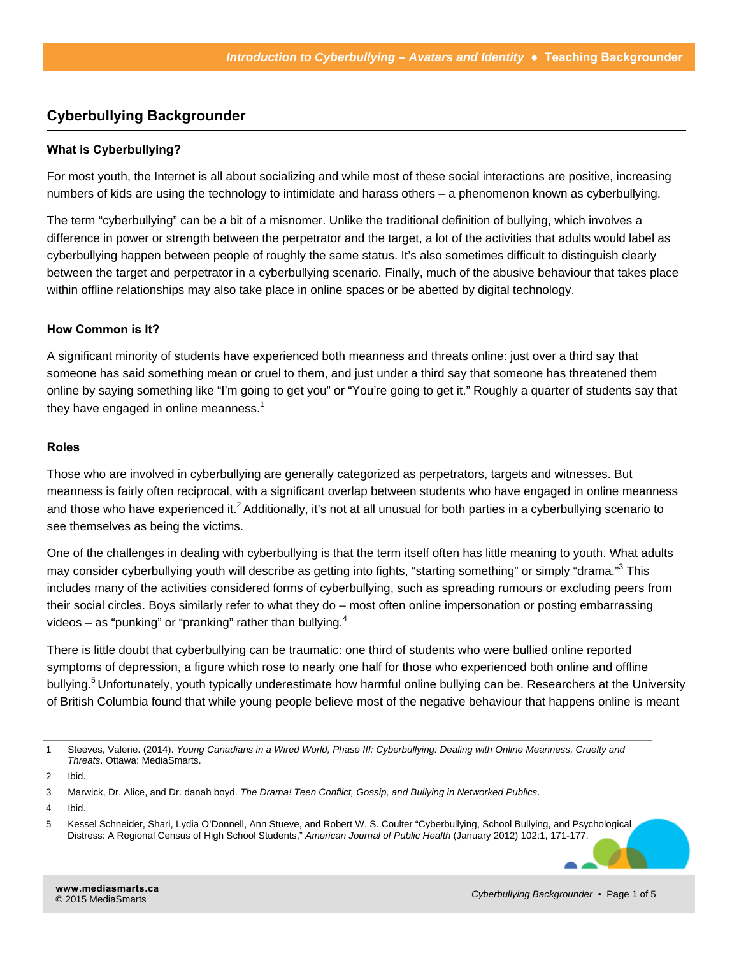## **Cyberbullying Backgrounder**

#### **What is Cyberbullying?**

For most youth, the Internet is all about socializing and while most of these social interactions are positive, increasing numbers of kids are using the technology to intimidate and harass others – a phenomenon known as cyberbullying.

The term "cyberbullying" can be a bit of a misnomer. Unlike the traditional definition of bullying, which involves a difference in power or strength between the perpetrator and the target, a lot of the activities that adults would label as cyberbullying happen between people of roughly the same status. It's also sometimes difficult to distinguish clearly between the target and perpetrator in a cyberbullying scenario. Finally, much of the abusive behaviour that takes place within offline relationships may also take place in online spaces or be abetted by digital technology.

#### **How Common is It?**

A significant minority of students have experienced both meanness and threats online: just over a third say that someone has said something mean or cruel to them, and just under a third say that someone has threatened them online by saying something like "I'm going to get you" or "You're going to get it." Roughly a quarter of students say that they have engaged in online meanness. $<sup>1</sup>$ </sup>

#### **Roles**

Those who are involved in cyberbullying are generally categorized as perpetrators, targets and witnesses. But meanness is fairly often reciprocal, with a significant overlap between students who have engaged in online meanness and those who have experienced it.<sup>2</sup> Additionally, it's not at all unusual for both parties in a cyberbullying scenario to see themselves as being the victims.

One of the challenges in dealing with cyberbullying is that the term itself often has little meaning to youth. What adults may consider cyberbullying youth will describe as getting into fights, "starting something" or simply "drama."<sup>3</sup> This includes many of the activities considered forms of cyberbullying, such as spreading rumours or excluding peers from their social circles. Boys similarly refer to what they do – most often online impersonation or posting embarrassing videos – as "punking" or "pranking" rather than bullying. $4$ 

There is little doubt that cyberbullying can be traumatic: one third of students who were bullied online reported symptoms of depression, a figure which rose to nearly one half for those who experienced both online and offline bullying.<sup>5</sup> Unfortunately, youth typically underestimate how harmful online bullying can be. Researchers at the University of British Columbia found that while young people believe most of the negative behaviour that happens online is meant

<sup>1</sup> Steeves, Valerie. (2014). *Young Canadians in a Wired World, Phase III: Cyberbullying: Dealing with Online Meanness, Cruelty and Threats*. Ottawa: MediaSmarts.

<sup>2</sup> Ibid.

<sup>3</sup> Marwick, Dr. Alice, and Dr. danah boyd. *The Drama! Teen Conflict, Gossip, and Bullying in Networked Publics*.

<sup>4</sup> Ibid.

<sup>5</sup> Kessel Schneider, Shari, Lydia O'Donnell, Ann Stueve, and Robert W. S. Coulter "Cyberbullying, School Bullying, and Psychological Distress: A Regional Census of High School Students," *American Journal of Public Health* (January 2012) 102:1, 171-177.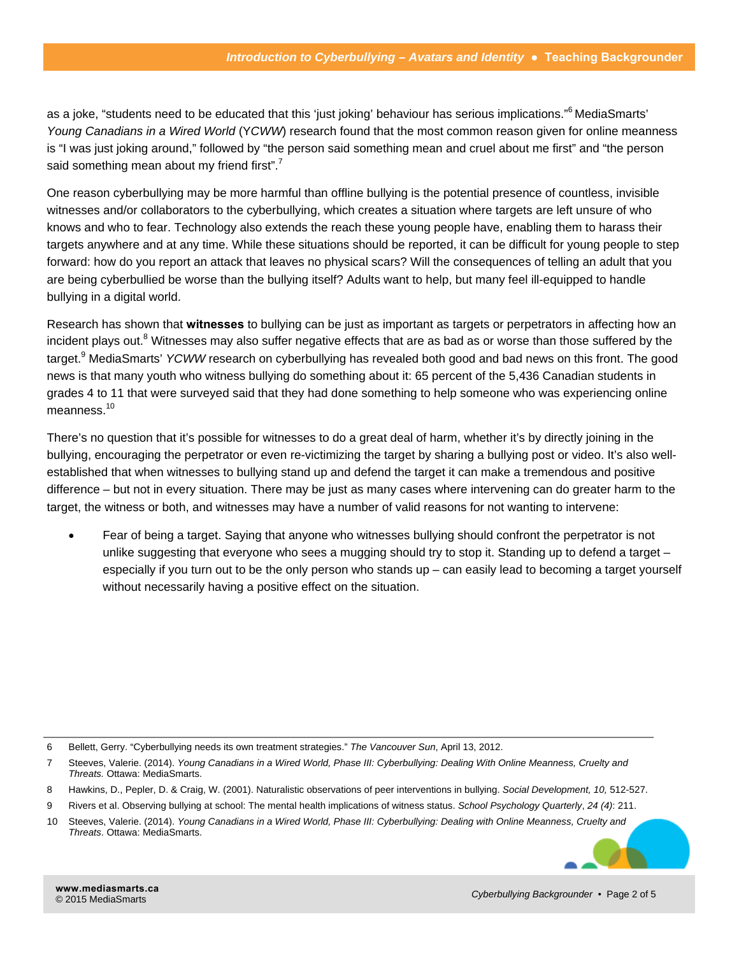as a joke, "students need to be educated that this 'just joking' behaviour has serious implications." MediaSmarts' *Young Canadians in a Wired World* (Y*CWW*) research found that the most common reason given for online meanness is "I was just joking around," followed by "the person said something mean and cruel about me first" and "the person said something mean about my friend first".<sup>7</sup>

One reason cyberbullying may be more harmful than offline bullying is the potential presence of countless, invisible witnesses and/or collaborators to the cyberbullying, which creates a situation where targets are left unsure of who knows and who to fear. Technology also extends the reach these young people have, enabling them to harass their targets anywhere and at any time. While these situations should be reported, it can be difficult for young people to step forward: how do you report an attack that leaves no physical scars? Will the consequences of telling an adult that you are being cyberbullied be worse than the bullying itself? Adults want to help, but many feel ill-equipped to handle bullying in a digital world.

Research has shown that **witnesses** to bullying can be just as important as targets or perpetrators in affecting how an incident plays out.<sup>8</sup> Witnesses may also suffer negative effects that are as bad as or worse than those suffered by the target.<sup>9</sup> MediaSmarts' YCWW research on cyberbullying has revealed both good and bad news on this front. The good news is that many youth who witness bullying do something about it: 65 percent of the 5,436 Canadian students in grades 4 to 11 that were surveyed said that they had done something to help someone who was experiencing online meanness.<sup>10</sup>

There's no question that it's possible for witnesses to do a great deal of harm, whether it's by directly joining in the bullying, encouraging the perpetrator or even re-victimizing the target by sharing a bullying post or video. It's also wellestablished that when witnesses to bullying stand up and defend the target it can make a tremendous and positive difference – but not in every situation. There may be just as many cases where intervening can do greater harm to the target, the witness or both, and witnesses may have a number of valid reasons for not wanting to intervene:

 Fear of being a target. Saying that anyone who witnesses bullying should confront the perpetrator is not unlike suggesting that everyone who sees a mugging should try to stop it. Standing up to defend a target – especially if you turn out to be the only person who stands up – can easily lead to becoming a target yourself without necessarily having a positive effect on the situation.

6 Bellett, Gerry. "Cyberbullying needs its own treatment strategies." *The Vancouver Sun*, April 13, 2012.

<sup>7</sup> Steeves, Valerie. (2014). *Young Canadians in a Wired World, Phase III: Cyberbullying: Dealing With Online Meanness, Cruelty and Threats.* Ottawa: MediaSmarts.

<sup>8</sup> Hawkins, D., Pepler, D. & Craig, W. (2001). Naturalistic observations of peer interventions in bullying. *Social Development, 10,* 512-527.

<sup>9</sup> Rivers et al. Observing bullying at school: The mental health implications of witness status. *School Psychology Quarterly*, *24 (4)*: 211.

<sup>10</sup> Steeves, Valerie. (2014). *Young Canadians in a Wired World, Phase III: Cyberbullying: Dealing with Online Meanness, Cruelty and Threats*. Ottawa: MediaSmarts.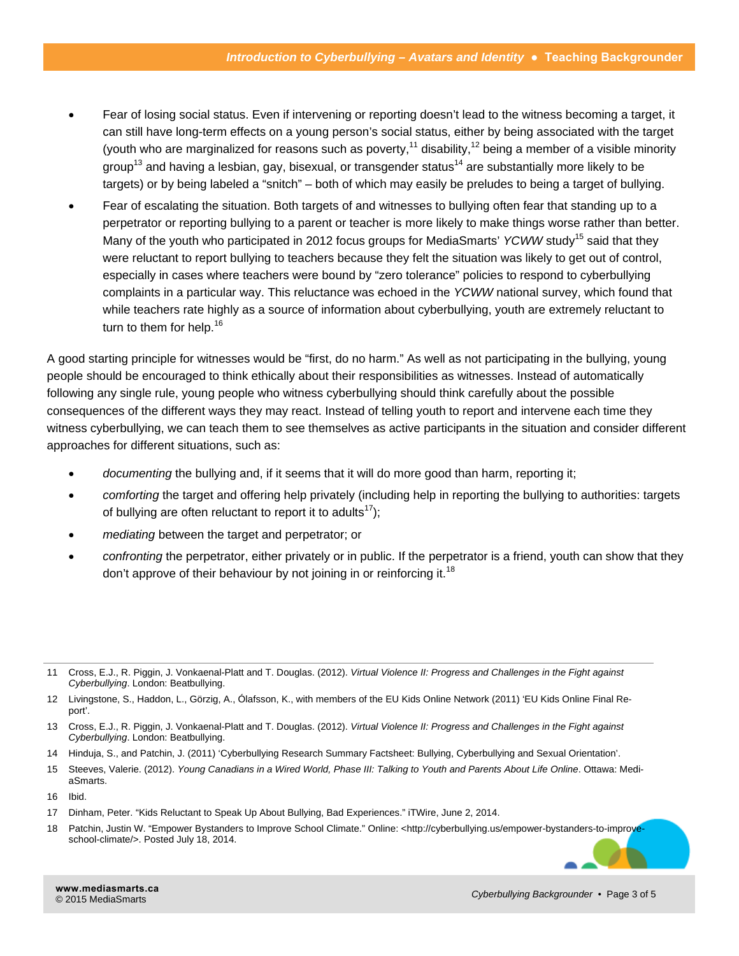- Fear of losing social status. Even if intervening or reporting doesn't lead to the witness becoming a target, it can still have long-term effects on a young person's social status, either by being associated with the target (youth who are marginalized for reasons such as poverty,<sup>11</sup> disability,<sup>12</sup> being a member of a visible minority group<sup>13</sup> and having a lesbian, gay, bisexual, or transgender status<sup>14</sup> are substantially more likely to be targets) or by being labeled a "snitch" – both of which may easily be preludes to being a target of bullying.
- Fear of escalating the situation. Both targets of and witnesses to bullying often fear that standing up to a perpetrator or reporting bullying to a parent or teacher is more likely to make things worse rather than better. Many of the youth who participated in 2012 focus groups for MediaSmarts' *YCWW* study<sup>15</sup> said that they were reluctant to report bullying to teachers because they felt the situation was likely to get out of control, especially in cases where teachers were bound by "zero tolerance" policies to respond to cyberbullying complaints in a particular way. This reluctance was echoed in the *YCWW* national survey, which found that while teachers rate highly as a source of information about cyberbullying, youth are extremely reluctant to turn to them for help.<sup>16</sup>

A good starting principle for witnesses would be "first, do no harm." As well as not participating in the bullying, young people should be encouraged to think ethically about their responsibilities as witnesses. Instead of automatically following any single rule, young people who witness cyberbullying should think carefully about the possible consequences of the different ways they may react. Instead of telling youth to report and intervene each time they witness cyberbullying, we can teach them to see themselves as active participants in the situation and consider different approaches for different situations, such as:

- *documenting* the bullying and, if it seems that it will do more good than harm, reporting it;
- *comforting* the target and offering help privately (including help in reporting the bullying to authorities: targets of bullying are often reluctant to report it to adults<sup>17</sup>);
- *mediating* between the target and perpetrator; or
- *confronting* the perpetrator, either privately or in public. If the perpetrator is a friend, youth can show that they don't approve of their behaviour by not joining in or reinforcing it.<sup>18</sup>

- 14 Hinduja, S., and Patchin, J. (2011) 'Cyberbullying Research Summary Factsheet: Bullying, Cyberbullying and Sexual Orientation'.
- 15 Steeves, Valerie. (2012). *Young Canadians in a Wired World, Phase III: Talking to Youth and Parents About Life Online*. Ottawa: MediaSmarts.

<sup>11</sup> Cross, E.J., R. Piggin, J. Vonkaenal-Platt and T. Douglas. (2012). *Virtual Violence II: Progress and Challenges in the Fight against Cyberbullying*. London: Beatbullying.

<sup>12</sup> Livingstone, S., Haddon, L., Görzig, A., Ólafsson, K., with members of the EU Kids Online Network (2011) 'EU Kids Online Final Report'.

<sup>13</sup> Cross, E.J., R. Piggin, J. Vonkaenal-Platt and T. Douglas. (2012). *Virtual Violence II: Progress and Challenges in the Fight against Cyberbullying*. London: Beatbullying.

<sup>16</sup> Ibid.

<sup>17</sup> Dinham, Peter. "Kids Reluctant to Speak Up About Bullying, Bad Experiences." iTWire, June 2, 2014.

<sup>18</sup> [Patchin, Justin W. "Empower Bystanders to Improve School Climate." Online: <http://cyberbullying.us/empower-bystanders-to-improve](http://cyberbullying.us/empower-bystanders-to-improve-school-climate/)school-[climate/>. Po](http://cyberbullying.us/empower-bystanders-to-improve-school-climate/)sted July 18, 2014.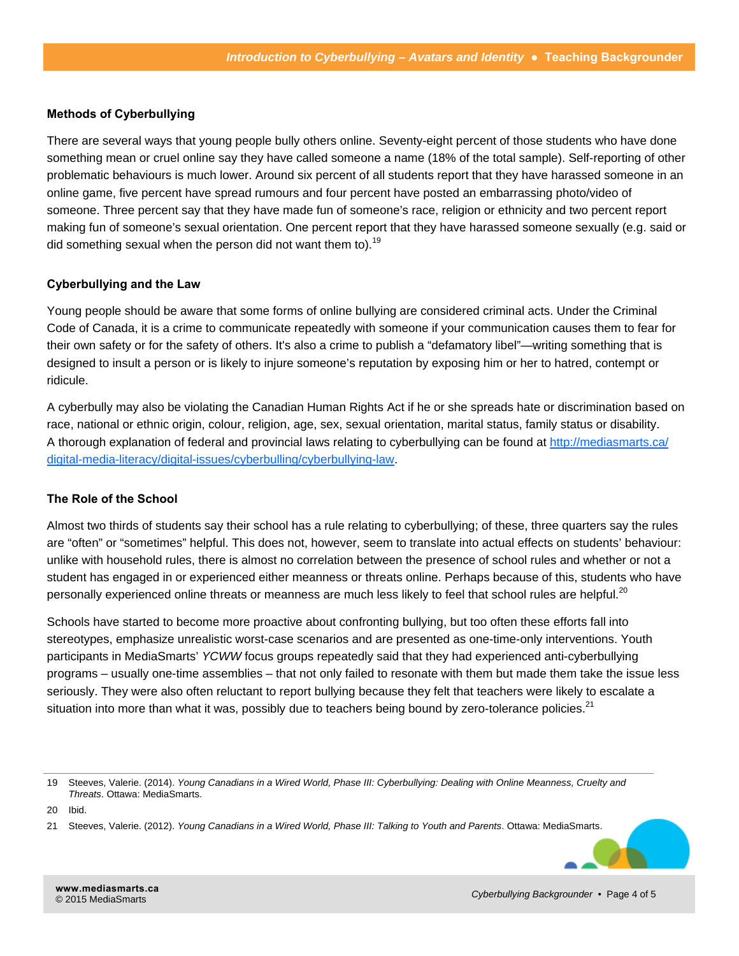#### **Methods of Cyberbullying**

There are several ways that young people bully others online. Seventy-eight percent of those students who have done something mean or cruel online say they have called someone a name (18% of the total sample). Self-reporting of other problematic behaviours is much lower. Around six percent of all students report that they have harassed someone in an online game, five percent have spread rumours and four percent have posted an embarrassing photo/video of someone. Three percent say that they have made fun of someone's race, religion or ethnicity and two percent report making fun of someone's sexual orientation. One percent report that they have harassed someone sexually (e.g. said or did something sexual when the person did not want them to).<sup>19</sup>

#### **Cyberbullying and the Law**

Young people should be aware that some forms of online bullying are considered criminal acts. Under the Criminal Code of Canada, it is a crime to communicate repeatedly with someone if your communication causes them to fear for their own safety or for the safety of others. It's also a crime to publish a "defamatory libel"—writing something that is designed to insult a person or is likely to injure someone's reputation by exposing him or her to hatred, contempt or ridicule.

A cyberbully may also be violating the Canadian Human Rights Act if he or she spreads hate or discrimination based on race, national or ethnic origin, colour, religion, age, sex, sexual orientation, marital status, family status or disability. A thorough explanation of federal and provincial laws relating to cyberbullying can be found at [http://mediasmarts.ca/](http://mediasmarts.ca/digital-media-literacy/digital-issues/cyberbulling/cyberbullying-law.) [digital-media-literacy/digital-issues/cyberbulling/cyberbullying-law.](http://mediasmarts.ca/digital-media-literacy/digital-issues/cyberbulling/cyberbullying-law.)

#### **The Role of the School**

Almost two thirds of students say their school has a rule relating to cyberbullying; of these, three quarters say the rules are "often" or "sometimes" helpful. This does not, however, seem to translate into actual effects on students' behaviour: unlike with household rules, there is almost no correlation between the presence of school rules and whether or not a student has engaged in or experienced either meanness or threats online. Perhaps because of this, students who have personally experienced online threats or meanness are much less likely to feel that school rules are helpful.<sup>20</sup>

Schools have started to become more proactive about confronting bullying, but too often these efforts fall into stereotypes, emphasize unrealistic worst-case scenarios and are presented as one-time-only interventions. Youth participants in MediaSmarts' *YCWW* focus groups repeatedly said that they had experienced anti-cyberbullying programs – usually one-time assemblies – that not only failed to resonate with them but made them take the issue less seriously. They were also often reluctant to report bullying because they felt that teachers were likely to escalate a situation into more than what it was, possibly due to teachers being bound by zero-tolerance policies.<sup>21</sup>

<sup>21</sup> Steeves, Valerie. (2012). *Young Canadians in a Wired World, Phase III: Talking to Youth and Parents*. Ottawa: MediaSmarts.



<sup>19</sup> Steeves, Valerie. (2014). *Young Canadians in a Wired World, Phase III: Cyberbullying: Dealing with Online Meanness, Cruelty and Threats*. Ottawa: MediaSmarts.

<sup>20</sup> Ibid.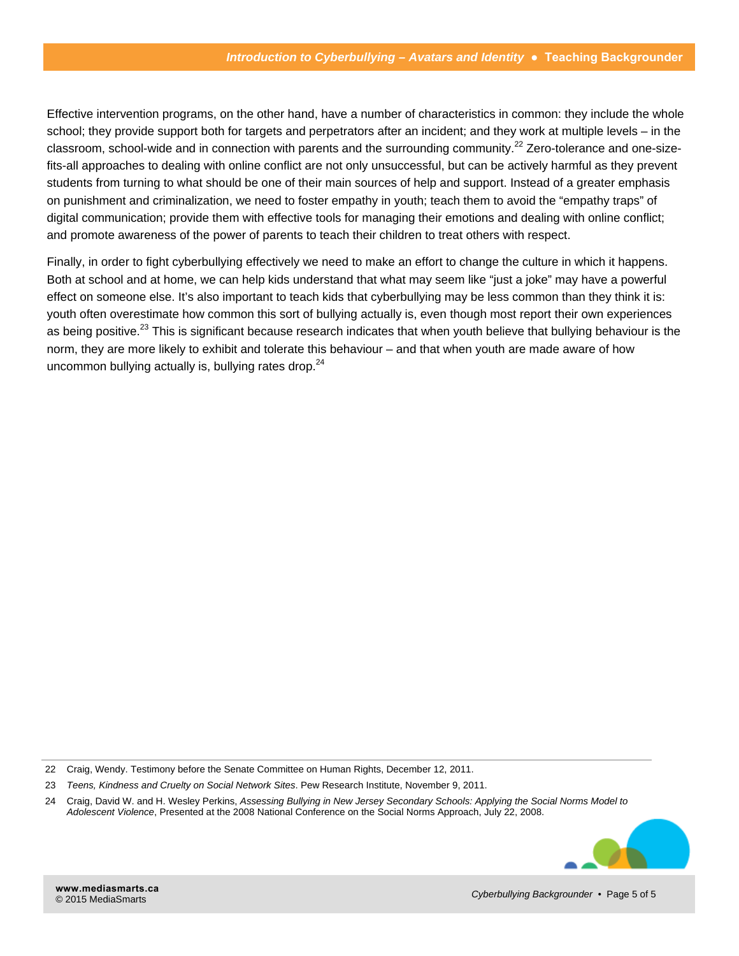Effective intervention programs, on the other hand, have a number of characteristics in common: they include the whole school; they provide support both for targets and perpetrators after an incident; and they work at multiple levels – in the classroom, school-wide and in connection with parents and the surrounding community.<sup>22</sup> Zero-tolerance and one-sizefits-all approaches to dealing with online conflict are not only unsuccessful, but can be actively harmful as they prevent students from turning to what should be one of their main sources of help and support. Instead of a greater emphasis on punishment and criminalization, we need to foster empathy in youth; teach them to avoid the "empathy traps" of digital communication; provide them with effective tools for managing their emotions and dealing with online conflict; and promote awareness of the power of parents to teach their children to treat others with respect.

Finally, in order to fight cyberbullying effectively we need to make an effort to change the culture in which it happens. Both at school and at home, we can help kids understand that what may seem like "just a joke" may have a powerful effect on someone else. It's also important to teach kids that cyberbullying may be less common than they think it is: youth often overestimate how common this sort of bullying actually is, even though most report their own experiences as being positive.<sup>23</sup> This is significant because research indicates that when youth believe that bullying behaviour is the norm, they are more likely to exhibit and tolerate this behaviour – and that when youth are made aware of how uncommon bullying actually is, bullying rates drop.<sup>24</sup>

<sup>24</sup> Craig, David W. and H. Wesley Perkins, *Assessing Bullying in New Jersey Secondary Schools: Applying the Social Norms Model to Adolescent Violence*, Presented at the 2008 National Conference on the Social Norms Approach, July 22, 2008.



<sup>22</sup> Craig, Wendy. Testimony before the Senate Committee on Human Rights, December 12, 2011.

<sup>23</sup> *Teens, Kindness and Cruelty on Social Network Sites*. Pew Research Institute, November 9, 2011.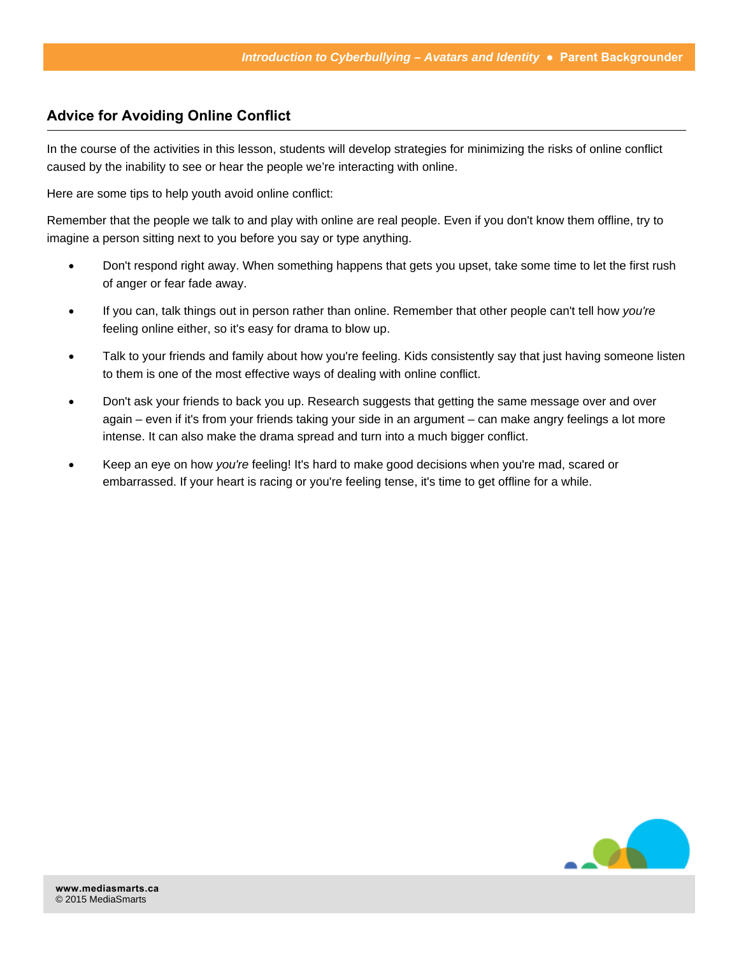## **Advice for Avoiding Online Conflict**

In the course of the activities in this lesson, students will develop strategies for minimizing the risks of online conflict caused by the inability to see or hear the people we're interacting with online.

Here are some tips to help youth avoid online conflict:

Remember that the people we talk to and play with online are real people. Even if you don't know them offline, try to imagine a person sitting next to you before you say or type anything.

- Don't respond right away. When something happens that gets you upset, take some time to let the first rush of anger or fear fade away.
- If you can, talk things out in person rather than online. Remember that other people can't tell how *you're* feeling online either, so it's easy for drama to blow up.
- Talk to your friends and family about how you're feeling. Kids consistently say that just having someone listen to them is one of the most effective ways of dealing with online conflict.
- Don't ask your friends to back you up. Research suggests that getting the same message over and over again – even if it's from your friends taking your side in an argument – can make angry feelings a lot more intense. It can also make the drama spread and turn into a much bigger conflict.
- Keep an eye on how *you're* feeling! It's hard to make good decisions when you're mad, scared or embarrassed. If your heart is racing or you're feeling tense, it's time to get offline for a while.

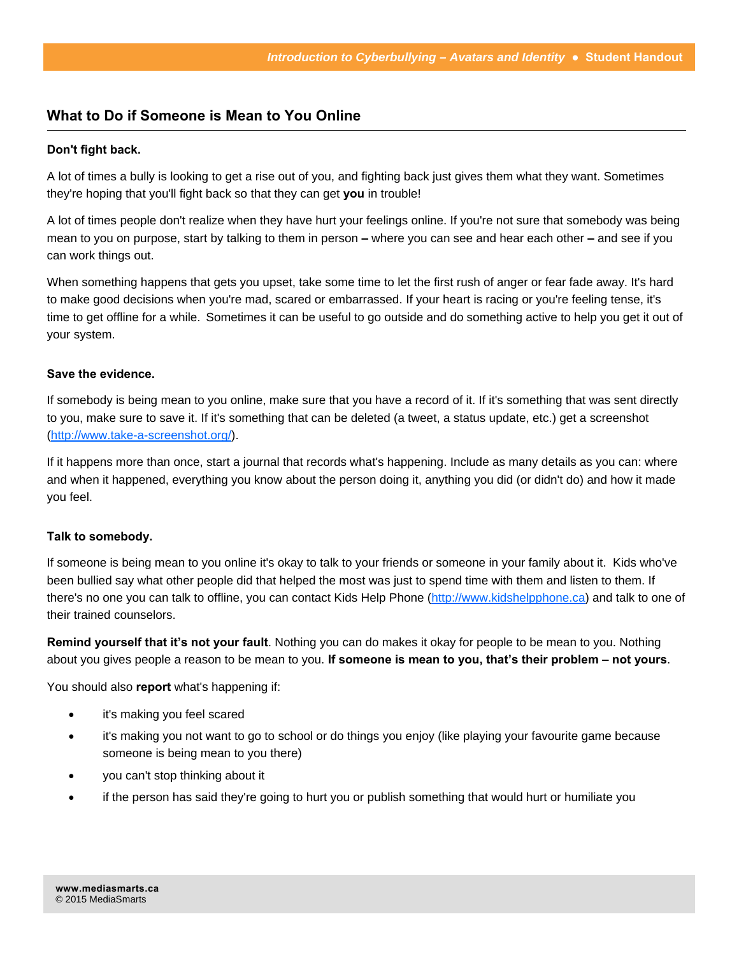## **What to Do if Someone is Mean to You Online**

#### **Don't fight back.**

A lot of times a bully is looking to get a rise out of you, and fighting back just gives them what they want. Sometimes they're hoping that you'll fight back so that they can get **you** in trouble!

A lot of times people don't realize when they have hurt your feelings online. If you're not sure that somebody was being mean to you on purpose, start by talking to them in person **–** where you can see and hear each other **–** and see if you can work things out.

When something happens that gets you upset, take some time to let the first rush of anger or fear fade away. It's hard to make good decisions when you're mad, scared or embarrassed. If your heart is racing or you're feeling tense, it's time to get offline for a while. Sometimes it can be useful to go outside and do something active to help you get it out of your system.

#### **Save the evidence.**

If somebody is being mean to you online, make sure that you have a record of it. If it's something that was sent directly to you, make sure to save it. If it's something that can be deleted (a tweet, a status update, etc.) get a screenshot [\(http://www.take-a-screenshot.org/\).](http://www.take-a-screenshot.org/) 

If it happens more than once, start a journal that records what's happening. Include as many details as you can: where and when it happened, everything you know about the person doing it, anything you did (or didn't do) and how it made you feel.

#### **Talk to somebody.**

If someone is being mean to you online it's okay to talk to your friends or someone in your family about it. Kids who've been bullied say what other people did that helped the most was just to spend time with them and listen to them. If there's no one you can talk to offline, you can contact Kids Help Phone ([http://www.kidshelpphone.ca\) an](http://www.kidshelpphone.ca)d talk to one of their trained counselors.

**Remind yourself that it's not your fault**. Nothing you can do makes it okay for people to be mean to you. Nothing about you gives people a reason to be mean to you. **If someone is mean to you, that's their problem – not yours**.

You should also **report** what's happening if:

- it's making you feel scared
- it's making you not want to go to school or do things you enjoy (like playing your favourite game because someone is being mean to you there)
- you can't stop thinking about it
- if the person has said they're going to hurt you or publish something that would hurt or humiliate you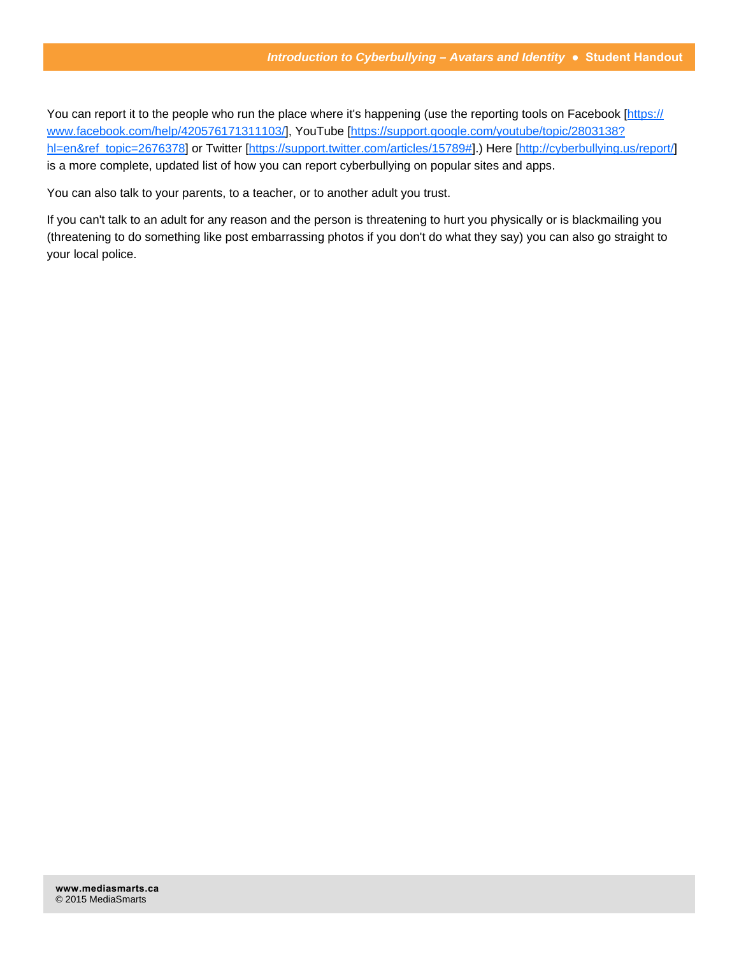You can report it to the people who run the place where it's happening (use the reporting tools on Facebook [[https://](https://www.facebook.com/help/420576171311103/]) [www.facebook.com/help/420576171311103/\]](https://www.facebook.com/help/420576171311103/), YouTube [[https://support.google.com/youtube/topic/2803138?](https://support.google.com/youtube/topic/2803138?hl=en&ref_topic=2676378) [hl=en&ref\\_topic=2676378\] or](https://support.google.com/youtube/topic/2803138?hl=en&ref_topic=2676378) Twitter [\[https://support.twitter.com/articles/15789#\].\) H](https://support.twitter.com/articles/15789#])ere [http://cyberbullying.us/report/] is a more complete, updated list of how you can report cyberbullying on popular sites and apps.

You can also talk to your parents, to a teacher, or to another adult you trust.

If you can't talk to an adult for any reason and the person is threatening to hurt you physically or is blackmailing you (threatening to do something like post embarrassing photos if you don't do what they say) you can also go straight to your local police.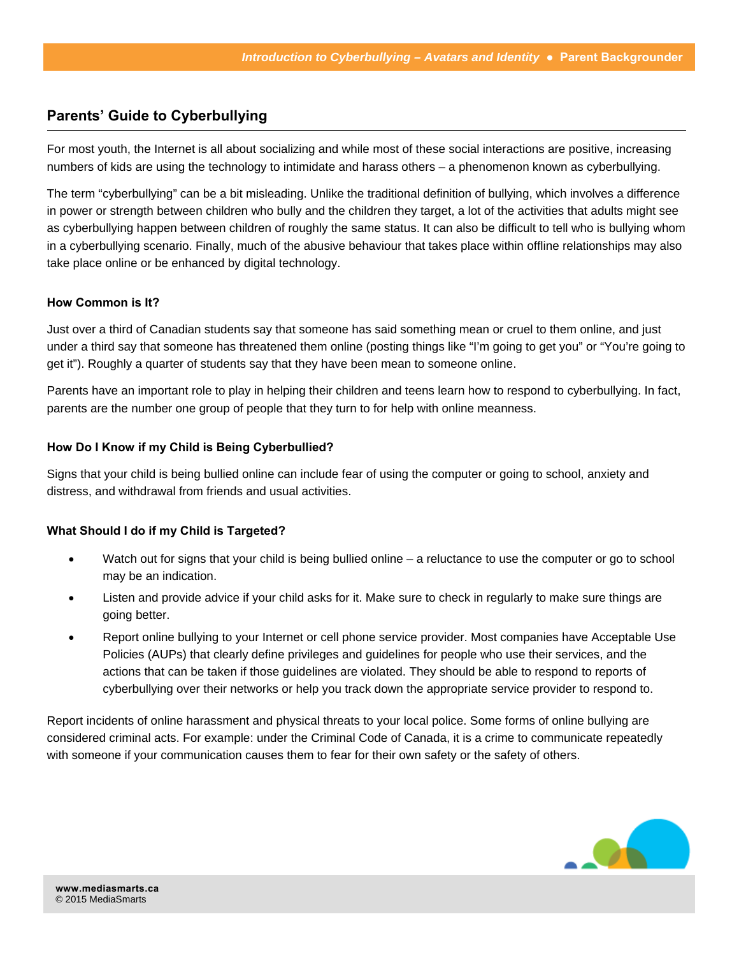## **Parents' Guide to Cyberbullying**

For most youth, the Internet is all about socializing and while most of these social interactions are positive, increasing numbers of kids are using the technology to intimidate and harass others – a phenomenon known as cyberbullying.

The term "cyberbullying" can be a bit misleading. Unlike the traditional definition of bullying, which involves a difference in power or strength between children who bully and the children they target, a lot of the activities that adults might see as cyberbullying happen between children of roughly the same status. It can also be difficult to tell who is bullying whom in a cyberbullying scenario. Finally, much of the abusive behaviour that takes place within offline relationships may also take place online or be enhanced by digital technology.

#### **How Common is It?**

Just over a third of Canadian students say that someone has said something mean or cruel to them online, and just under a third say that someone has threatened them online (posting things like "I'm going to get you" or "You're going to get it"). Roughly a quarter of students say that they have been mean to someone online.

Parents have an important role to play in helping their children and teens learn how to respond to cyberbullying. In fact, parents are the number one group of people that they turn to for help with online meanness.

#### **How Do I Know if my Child is Being Cyberbullied?**

Signs that your child is being bullied online can include fear of using the computer or going to school, anxiety and distress, and withdrawal from friends and usual activities.

#### **What Should I do if my Child is Targeted?**

- Watch out for signs that your child is being bullied online a reluctance to use the computer or go to school may be an indication.
- Listen and provide advice if your child asks for it. Make sure to check in regularly to make sure things are going better.
- Report online bullying to your Internet or cell phone service provider. Most companies have Acceptable Use Policies (AUPs) that clearly define privileges and guidelines for people who use their services, and the actions that can be taken if those guidelines are violated. They should be able to respond to reports of cyberbullying over their networks or help you track down the appropriate service provider to respond to.

Report incidents of online harassment and physical threats to your local police. Some forms of online bullying are considered criminal acts. For example: under the Criminal Code of Canada, it is a crime to communicate repeatedly with someone if your communication causes them to fear for their own safety or the safety of others.

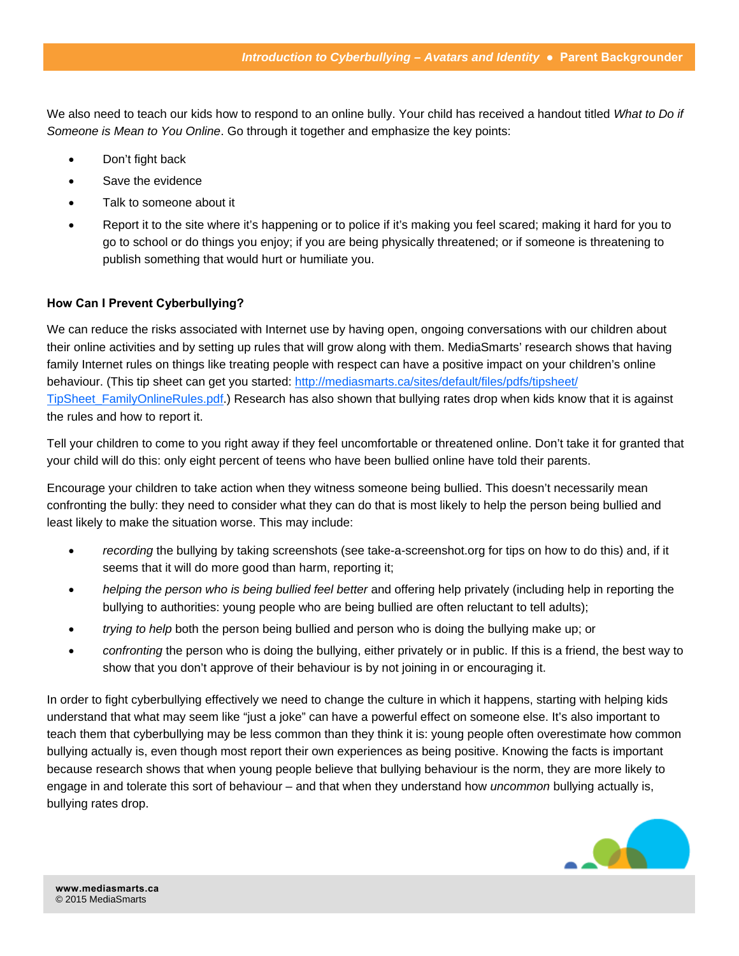We also need to teach our kids how to respond to an online bully. Your child has received a handout titled *What to Do if Someone is Mean to You Online*. Go through it together and emphasize the key points:

- Don't fight back
- Save the evidence
- Talk to someone about it
- Report it to the site where it's happening or to police if it's making you feel scared; making it hard for you to go to school or do things you enjoy; if you are being physically threatened; or if someone is threatening to publish something that would hurt or humiliate you.

#### **How Can I Prevent Cyberbullying?**

We can reduce the risks associated with Internet use by having open, ongoing conversations with our children about their online activities and by setting up rules that will grow along with them. MediaSmarts' research shows that having family Internet rules on things like treating people with respect can have a positive impact on your children's online behaviour. (This tip sheet can get you started: [http://mediasmarts.ca/sites/default/files/pdfs/tipsheet/](http://mediasmarts.ca/sites/default/files/pdfs/tipsheet/TipSheet_FamilyOnlineRules.pdf) [TipSheet\\_FamilyOnlineRules.pdf.](http://mediasmarts.ca/sites/default/files/pdfs/tipsheet/TipSheet_FamilyOnlineRules.pdf)) Research has also shown that bullying rates drop when kids know that it is against the rules and how to report it.

Tell your children to come to you right away if they feel uncomfortable or threatened online. Don't take it for granted that your child will do this: only eight percent of teens who have been bullied online have told their parents.

Encourage your children to take action when they witness someone being bullied. This doesn't necessarily mean confronting the bully: they need to consider what they can do that is most likely to help the person being bullied and least likely to make the situation worse. This may include:

- *recording* the bullying by taking screenshots (see take-a-screenshot.org for tips on how to do this) and, if it seems that it will do more good than harm, reporting it;
- *helping the person who is being bullied feel better* and offering help privately (including help in reporting the bullying to authorities: young people who are being bullied are often reluctant to tell adults);
- *trying to help* both the person being bullied and person who is doing the bullying make up; or
- *confronting* the person who is doing the bullying, either privately or in public. If this is a friend, the best way to show that you don't approve of their behaviour is by not joining in or encouraging it.

In order to fight cyberbullying effectively we need to change the culture in which it happens, starting with helping kids understand that what may seem like "just a joke" can have a powerful effect on someone else. It's also important to teach them that cyberbullying may be less common than they think it is: young people often overestimate how common bullying actually is, even though most report their own experiences as being positive. Knowing the facts is important because research shows that when young people believe that bullying behaviour is the norm, they are more likely to engage in and tolerate this sort of behaviour – and that when they understand how *uncommon* bullying actually is, bullying rates drop.

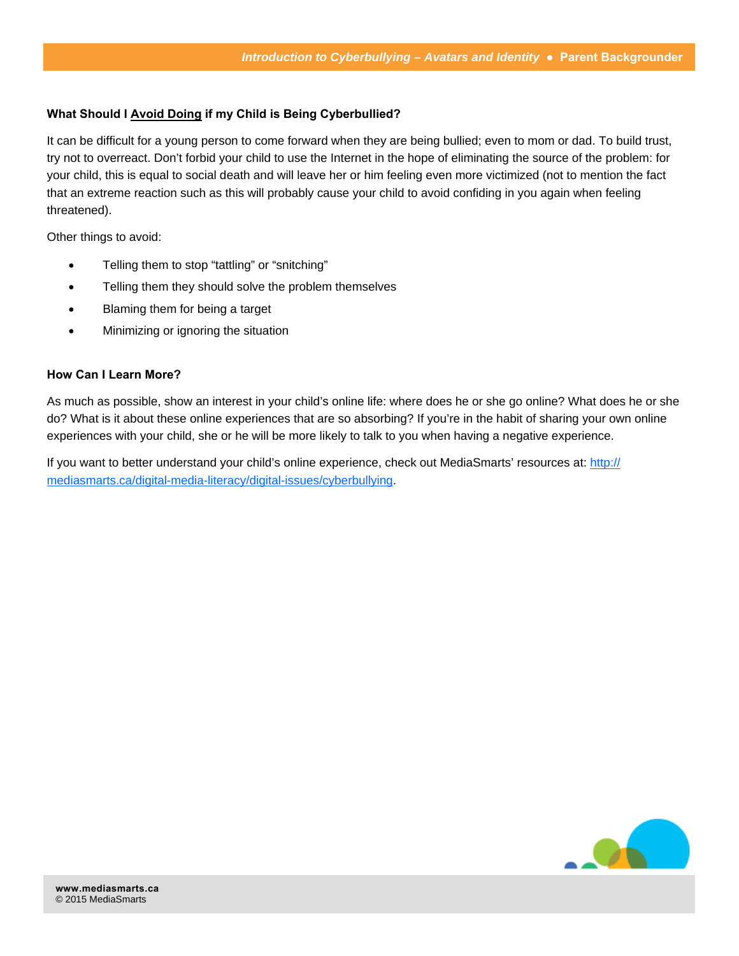#### **What Should I Avoid Doing if my Child is Being Cyberbullied?**

It can be difficult for a young person to come forward when they are being bullied; even to mom or dad. To build trust, try not to overreact. Don't forbid your child to use the Internet in the hope of eliminating the source of the problem: for your child, this is equal to social death and will leave her or him feeling even more victimized (not to mention the fact that an extreme reaction such as this will probably cause your child to avoid confiding in you again when feeling threatened).

Other things to avoid:

- Telling them to stop "tattling" or "snitching"
- Telling them they should solve the problem themselves
- Blaming them for being a target
- Minimizing or ignoring the situation

#### **How Can I Learn More?**

As much as possible, show an interest in your child's online life: where does he or she go online? What does he or she do? What is it about these online experiences that are so absorbing? If you're in the habit of sharing your own online experiences with your child, she or he will be more likely to talk to you when having a negative experience.

If you want to better understand your child's online experience, check out MediaSmarts' resources at: [http://](http://mediasmarts.ca/digital-media-literacy/digital-issues/cyberbullying) [mediasmarts.ca/digital-media-literacy/digital-issues/cyberbullying.](http://mediasmarts.ca/digital-media-literacy/digital-issues/cyberbullying) 

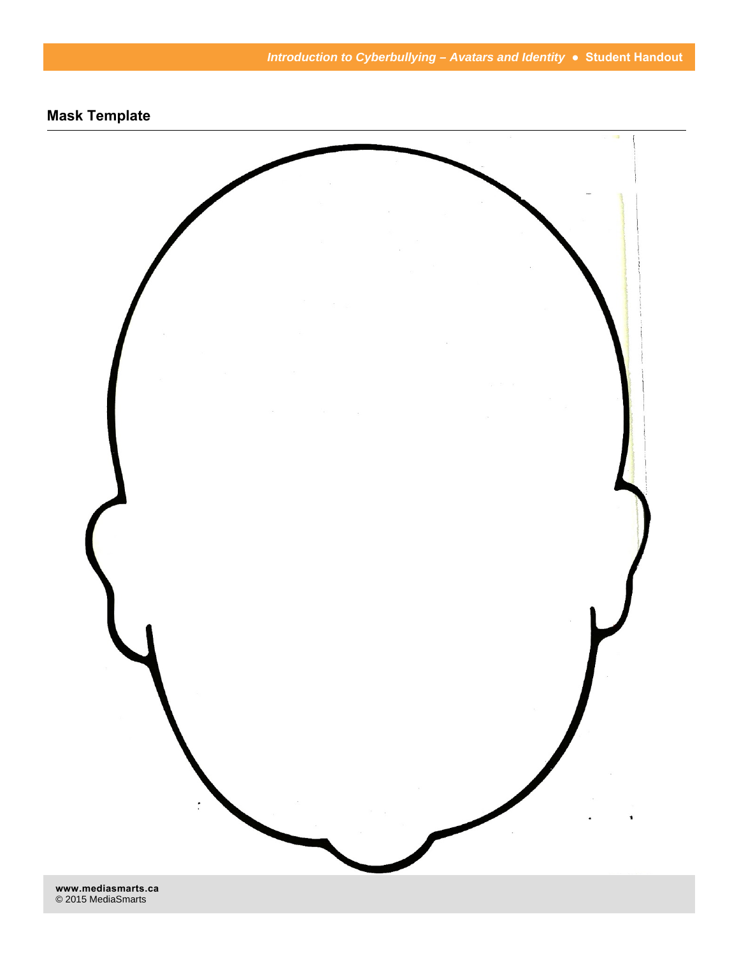

**[www.mediasmarts.ca](http://www.mediasmarts.ca)**  © 2015 MediaSmarts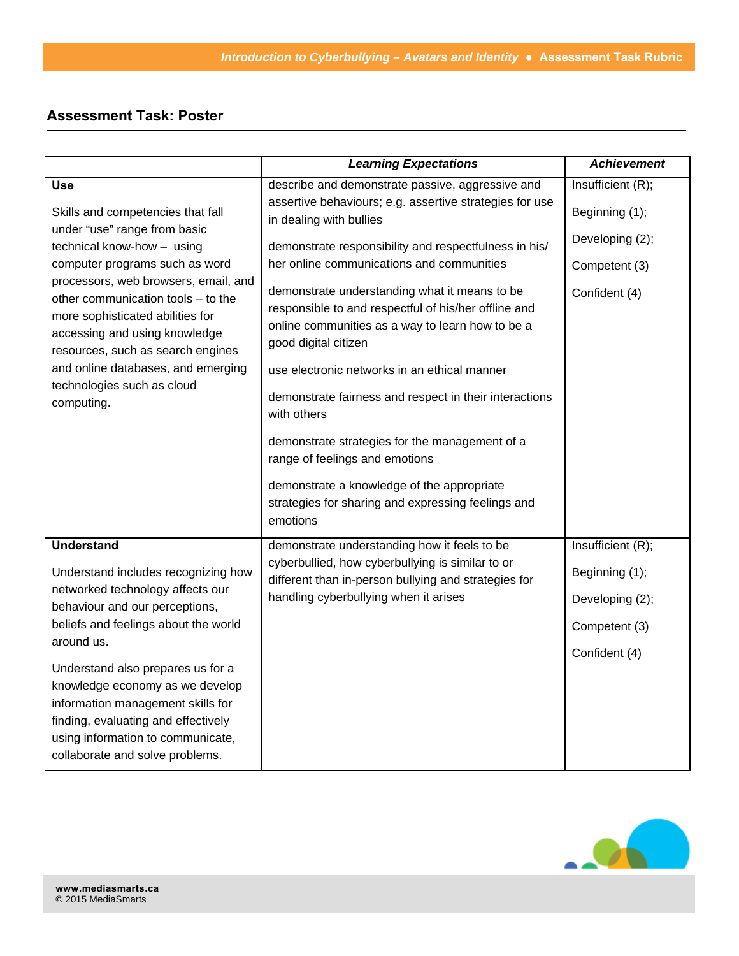## **Assessment Task: Poster**

|                                                                                                                                                                                                                                                                        | <b>Learning Expectations</b>                                                                                                                                                                                                                                                                                                                                                                                                                                                                                   | <b>Achievement</b> |
|------------------------------------------------------------------------------------------------------------------------------------------------------------------------------------------------------------------------------------------------------------------------|----------------------------------------------------------------------------------------------------------------------------------------------------------------------------------------------------------------------------------------------------------------------------------------------------------------------------------------------------------------------------------------------------------------------------------------------------------------------------------------------------------------|--------------------|
| <b>Use</b>                                                                                                                                                                                                                                                             | describe and demonstrate passive, aggressive and                                                                                                                                                                                                                                                                                                                                                                                                                                                               | Insufficient (R);  |
| Skills and competencies that fall<br>under "use" range from basic<br>technical know-how - using<br>computer programs such as word                                                                                                                                      | assertive behaviours; e.g. assertive strategies for use<br>in dealing with bullies                                                                                                                                                                                                                                                                                                                                                                                                                             | Beginning (1);     |
|                                                                                                                                                                                                                                                                        | demonstrate responsibility and respectfulness in his/                                                                                                                                                                                                                                                                                                                                                                                                                                                          | Developing (2);    |
|                                                                                                                                                                                                                                                                        | her online communications and communities                                                                                                                                                                                                                                                                                                                                                                                                                                                                      | Competent (3)      |
| processors, web browsers, email, and<br>other communication tools - to the<br>more sophisticated abilities for<br>accessing and using knowledge<br>resources, such as search engines<br>and online databases, and emerging<br>technologies such as cloud<br>computing. | demonstrate understanding what it means to be<br>responsible to and respectful of his/her offline and<br>online communities as a way to learn how to be a<br>good digital citizen<br>use electronic networks in an ethical manner<br>demonstrate fairness and respect in their interactions<br>with others<br>demonstrate strategies for the management of a<br>range of feelings and emotions<br>demonstrate a knowledge of the appropriate<br>strategies for sharing and expressing feelings and<br>emotions | Confident (4)      |
| <b>Understand</b>                                                                                                                                                                                                                                                      | demonstrate understanding how it feels to be                                                                                                                                                                                                                                                                                                                                                                                                                                                                   | Insufficient (R);  |
| Understand includes recognizing how<br>networked technology affects our<br>behaviour and our perceptions,<br>beliefs and feelings about the world<br>around us.                                                                                                        | cyberbullied, how cyberbullying is similar to or<br>different than in-person bullying and strategies for<br>handling cyberbullying when it arises                                                                                                                                                                                                                                                                                                                                                              | Beginning (1);     |
|                                                                                                                                                                                                                                                                        |                                                                                                                                                                                                                                                                                                                                                                                                                                                                                                                | Developing (2);    |
|                                                                                                                                                                                                                                                                        |                                                                                                                                                                                                                                                                                                                                                                                                                                                                                                                | Competent (3)      |
|                                                                                                                                                                                                                                                                        |                                                                                                                                                                                                                                                                                                                                                                                                                                                                                                                | Confident (4)      |
| Understand also prepares us for a<br>knowledge economy as we develop<br>information management skills for<br>finding, evaluating and effectively<br>using information to communicate,<br>collaborate and solve problems.                                               |                                                                                                                                                                                                                                                                                                                                                                                                                                                                                                                |                    |